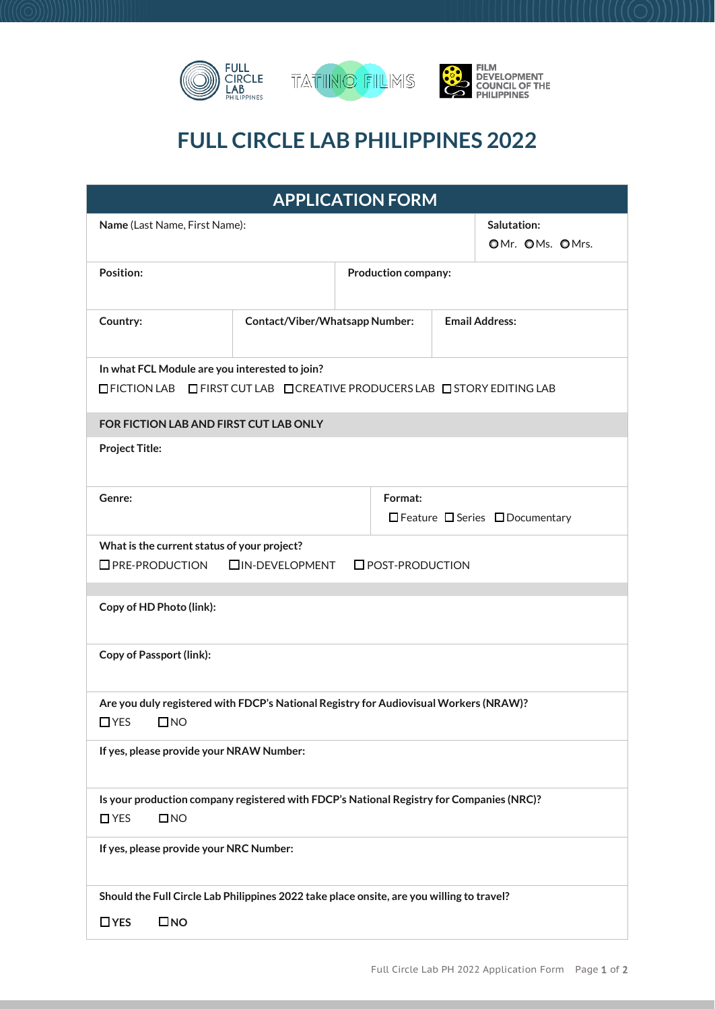

## **FULL CIRCLE LAB PHILIPPINES 2022**

| <b>APPLICATION FORM</b>                                                                                                      |                                |                                  |                       |  |  |
|------------------------------------------------------------------------------------------------------------------------------|--------------------------------|----------------------------------|-----------------------|--|--|
| Name (Last Name, First Name):                                                                                                |                                | Salutation:<br>OMr. OMs. OMrs.   |                       |  |  |
| Position:                                                                                                                    |                                | <b>Production company:</b>       |                       |  |  |
| Country:                                                                                                                     | Contact/Viber/Whatsapp Number: |                                  | <b>Email Address:</b> |  |  |
| In what FCL Module are you interested to join?<br>□ FICTION LAB □ FIRST CUT LAB □ CREATIVE PRODUCERS LAB □ STORY EDITING LAB |                                |                                  |                       |  |  |
| FOR FICTION LAB AND FIRST CUT LAB ONLY                                                                                       |                                |                                  |                       |  |  |
| <b>Project Title:</b>                                                                                                        |                                |                                  |                       |  |  |
| Genre:                                                                                                                       | Format:                        | □ Feature □ Series □ Documentary |                       |  |  |
| What is the current status of your project?<br><b>OPRE-PRODUCTION</b><br><b>OIN-DEVELOPMENT</b><br><b>O</b> POST-PRODUCTION  |                                |                                  |                       |  |  |
| Copy of HD Photo (link):                                                                                                     |                                |                                  |                       |  |  |
| <b>Copy of Passport (link):</b>                                                                                              |                                |                                  |                       |  |  |
| Are you duly registered with FDCP's National Registry for Audiovisual Workers (NRAW)?<br>$\Box$ YES<br>$\square$ NO          |                                |                                  |                       |  |  |
| If yes, please provide your NRAW Number:                                                                                     |                                |                                  |                       |  |  |
| Is your production company registered with FDCP's National Registry for Companies (NRC)?<br>$\Box$ YES<br>$\square$ NO       |                                |                                  |                       |  |  |
| If yes, please provide your NRC Number:                                                                                      |                                |                                  |                       |  |  |
| Should the Full Circle Lab Philippines 2022 take place onsite, are you willing to travel?<br>$\Box$ YES<br>$\square$ NO      |                                |                                  |                       |  |  |